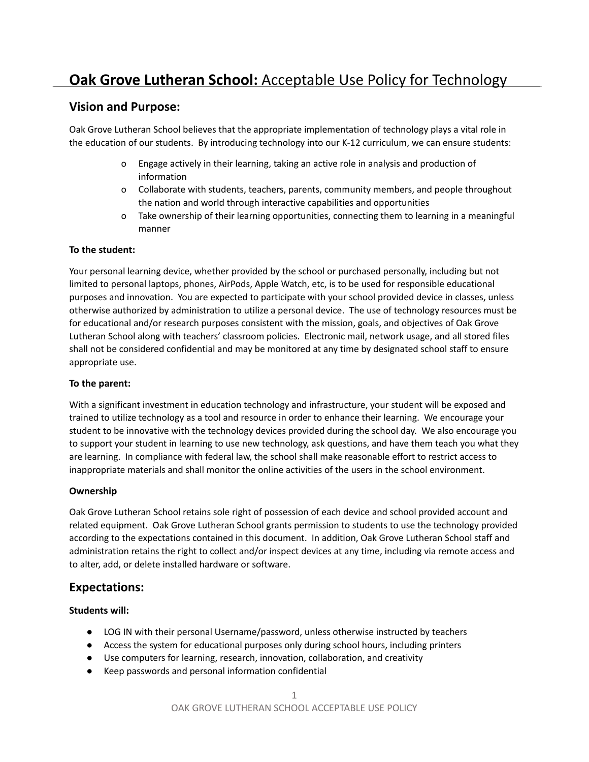# **Oak Grove Lutheran School:** Acceptable Use Policy for Technology

# **Vision and Purpose:**

Oak Grove Lutheran School believes that the appropriate implementation of technology plays a vital role in the education of our students. By introducing technology into our K-12 curriculum, we can ensure students:

- o Engage actively in their learning, taking an active role in analysis and production of information
- o Collaborate with students, teachers, parents, community members, and people throughout the nation and world through interactive capabilities and opportunities
- o Take ownership of their learning opportunities, connecting them to learning in a meaningful manner

### **To the student:**

Your personal learning device, whether provided by the school or purchased personally, including but not limited to personal laptops, phones, AirPods, Apple Watch, etc, is to be used for responsible educational purposes and innovation. You are expected to participate with your school provided device in classes, unless otherwise authorized by administration to utilize a personal device. The use of technology resources must be for educational and/or research purposes consistent with the mission, goals, and objectives of Oak Grove Lutheran School along with teachers' classroom policies. Electronic mail, network usage, and all stored files shall not be considered confidential and may be monitored at any time by designated school staff to ensure appropriate use.

### **To the parent:**

With a significant investment in education technology and infrastructure, your student will be exposed and trained to utilize technology as a tool and resource in order to enhance their learning. We encourage your student to be innovative with the technology devices provided during the school day. We also encourage you to support your student in learning to use new technology, ask questions, and have them teach you what they are learning. In compliance with federal law, the school shall make reasonable effort to restrict access to inappropriate materials and shall monitor the online activities of the users in the school environment.

## **Ownership**

Oak Grove Lutheran School retains sole right of possession of each device and school provided account and related equipment. Oak Grove Lutheran School grants permission to students to use the technology provided according to the expectations contained in this document. In addition, Oak Grove Lutheran School staff and administration retains the right to collect and/or inspect devices at any time, including via remote access and to alter, add, or delete installed hardware or software.

# **Expectations:**

## **Students will:**

- LOG IN with their personal Username/password, unless otherwise instructed by teachers
- Access the system for educational purposes only during school hours, including printers
- Use computers for learning, research, innovation, collaboration, and creativity
- Keep passwords and personal information confidential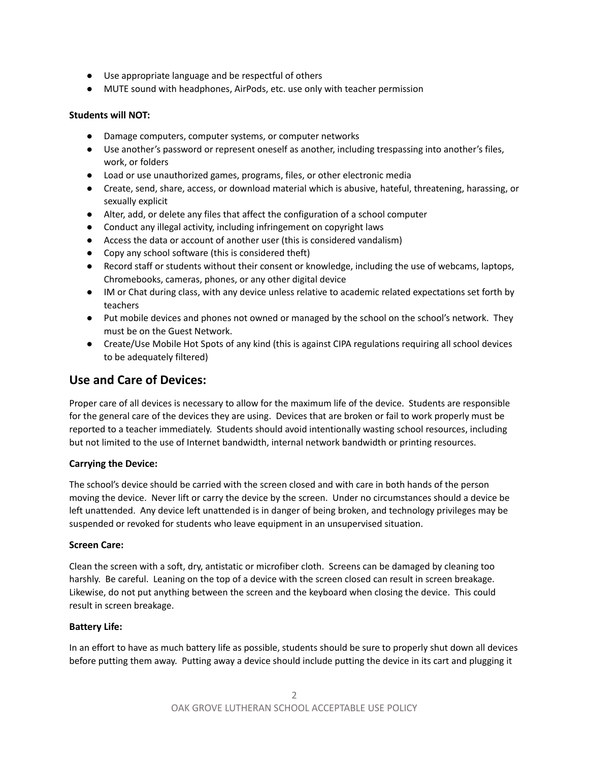- Use appropriate language and be respectful of others
- MUTE sound with headphones, AirPods, etc. use only with teacher permission

#### **Students will NOT:**

- Damage computers, computer systems, or computer networks
- Use another's password or represent oneself as another, including trespassing into another's files, work, or folders
- Load or use unauthorized games, programs, files, or other electronic media
- Create, send, share, access, or download material which is abusive, hateful, threatening, harassing, or sexually explicit
- Alter, add, or delete any files that affect the configuration of a school computer
- Conduct any illegal activity, including infringement on copyright laws
- Access the data or account of another user (this is considered vandalism)
- Copy any school software (this is considered theft)
- Record staff or students without their consent or knowledge, including the use of webcams, laptops, Chromebooks, cameras, phones, or any other digital device
- IM or Chat during class, with any device unless relative to academic related expectations set forth by teachers
- Put mobile devices and phones not owned or managed by the school on the school's network. They must be on the Guest Network.
- Create/Use Mobile Hot Spots of any kind (this is against CIPA regulations requiring all school devices to be adequately filtered)

# **Use and Care of Devices:**

Proper care of all devices is necessary to allow for the maximum life of the device. Students are responsible for the general care of the devices they are using. Devices that are broken or fail to work properly must be reported to a teacher immediately. Students should avoid intentionally wasting school resources, including but not limited to the use of Internet bandwidth, internal network bandwidth or printing resources.

#### **Carrying the Device:**

The school's device should be carried with the screen closed and with care in both hands of the person moving the device. Never lift or carry the device by the screen. Under no circumstances should a device be left unattended. Any device left unattended is in danger of being broken, and technology privileges may be suspended or revoked for students who leave equipment in an unsupervised situation.

#### **Screen Care:**

Clean the screen with a soft, dry, antistatic or microfiber cloth. Screens can be damaged by cleaning too harshly. Be careful. Leaning on the top of a device with the screen closed can result in screen breakage. Likewise, do not put anything between the screen and the keyboard when closing the device. This could result in screen breakage.

#### **Battery Life:**

In an effort to have as much battery life as possible, students should be sure to properly shut down all devices before putting them away. Putting away a device should include putting the device in its cart and plugging it